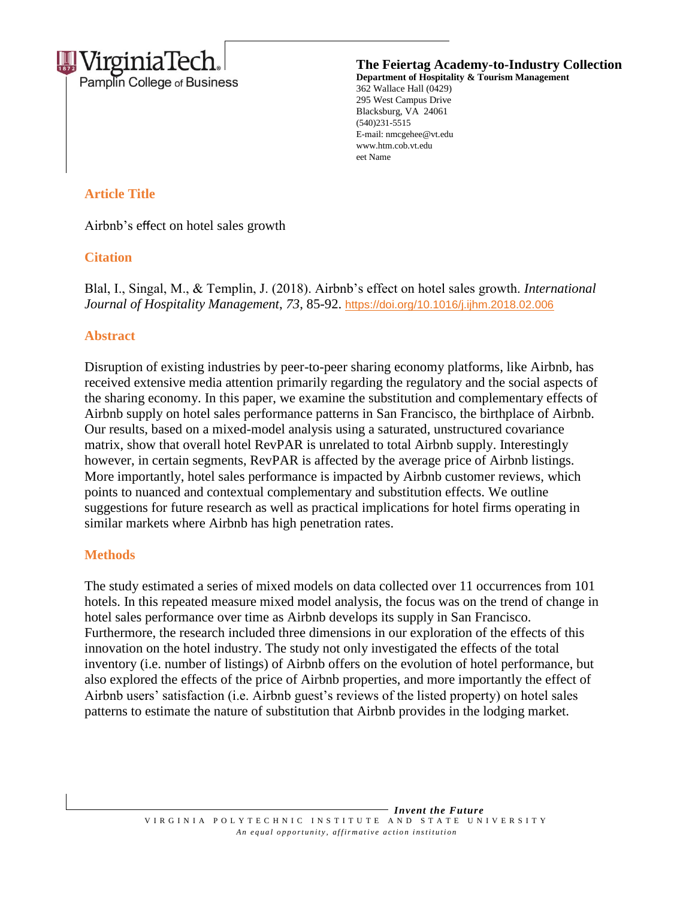

**The Feiertag Academy-to-Industry Collection Department of Hospitality & Tourism Management**

362 Wallace Hall (0429) 295 West Campus Drive Blacksburg, VA 24061 (540)231-5515 E-mail: nmcgehee@vt.edu www.htm.cob.vt.edu eet Name

# **Article Title**

Airbnb's effect on hotel sales growth

# **Citation**

Blal, I., Singal, M., & Templin, J. (2018). Airbnb's effect on hotel sales growth. *International Journal of Hospitality Management*, *73*, 85-92. <https://doi.org/10.1016/j.ijhm.2018.02.006>

# **Abstract**

Disruption of existing industries by peer-to-peer sharing economy platforms, like Airbnb, has received extensive media attention primarily regarding the regulatory and the social aspects of the sharing economy. In this paper, we examine the substitution and complementary effects of Airbnb supply on hotel sales performance patterns in San Francisco, the birthplace of Airbnb. Our results, based on a mixed-model analysis using a saturated, unstructured covariance matrix, show that overall hotel RevPAR is unrelated to total Airbnb supply. Interestingly however, in certain segments, RevPAR is affected by the average price of Airbnb listings. More importantly, hotel sales performance is impacted by Airbnb customer reviews, which points to nuanced and contextual complementary and substitution effects. We outline suggestions for future research as well as practical implications for hotel firms operating in similar markets where Airbnb has high penetration rates.

### **Methods**

The study estimated a series of mixed models on data collected over 11 occurrences from 101 hotels. In this repeated measure mixed model analysis, the focus was on the trend of change in hotel sales performance over time as Airbnb develops its supply in San Francisco. Furthermore, the research included three dimensions in our exploration of the effects of this innovation on the hotel industry. The study not only investigated the effects of the total inventory (i.e. number of listings) of Airbnb offers on the evolution of hotel performance, but also explored the effects of the price of Airbnb properties, and more importantly the effect of Airbnb users' satisfaction (i.e. Airbnb guest's reviews of the listed property) on hotel sales patterns to estimate the nature of substitution that Airbnb provides in the lodging market.